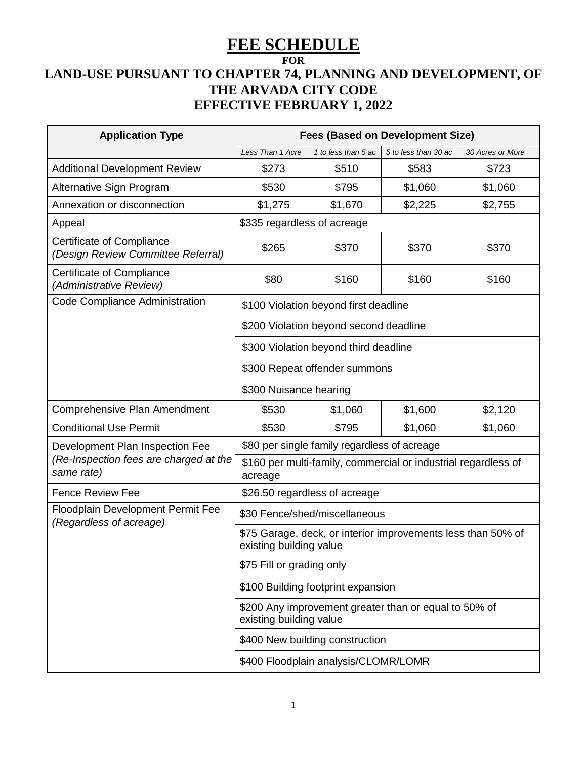## **FEE SCHEDULE**

## **FOR**

## **LAND-USE PURSUANT TO CHAPTER 74, PLANNING AND DEVELOPMENT, OF THE ARVADA CITY CODE EFFECTIVE FEBRUARY 1, 2022**

| <b>Application Type</b>                                         | <b>Fees (Based on Development Size)</b>                                                 |                               |                      |                  |  |  |
|-----------------------------------------------------------------|-----------------------------------------------------------------------------------------|-------------------------------|----------------------|------------------|--|--|
|                                                                 | Less Than 1 Acre                                                                        | 1 to less than 5 ac           | 5 to less than 30 ac | 30 Acres or More |  |  |
| <b>Additional Development Review</b>                            | \$273                                                                                   | \$510                         | \$583                | \$723            |  |  |
| Alternative Sign Program                                        | \$530                                                                                   | \$795                         | \$1,060              | \$1,060          |  |  |
| Annexation or disconnection                                     | \$1,275                                                                                 | \$1,670                       | \$2,225              | \$2,755          |  |  |
| Appeal                                                          | \$335 regardless of acreage                                                             |                               |                      |                  |  |  |
| Certificate of Compliance<br>(Design Review Committee Referral) | \$265                                                                                   | \$370                         | \$370                | \$370            |  |  |
| Certificate of Compliance<br>(Administrative Review)            | \$80                                                                                    | \$160                         | \$160                | \$160            |  |  |
| Code Compliance Administration                                  | \$100 Violation beyond first deadline                                                   |                               |                      |                  |  |  |
|                                                                 | \$200 Violation beyond second deadline                                                  |                               |                      |                  |  |  |
|                                                                 | \$300 Violation beyond third deadline                                                   |                               |                      |                  |  |  |
|                                                                 |                                                                                         | \$300 Repeat offender summons |                      |                  |  |  |
|                                                                 | \$300 Nuisance hearing                                                                  |                               |                      |                  |  |  |
| Comprehensive Plan Amendment                                    | \$530                                                                                   | \$1,060                       | \$1,600              | \$2,120          |  |  |
| <b>Conditional Use Permit</b>                                   | \$530                                                                                   | \$795                         | \$1,060              | \$1,060          |  |  |
| Development Plan Inspection Fee                                 | \$80 per single family regardless of acreage                                            |                               |                      |                  |  |  |
| (Re-Inspection fees are charged at the<br>same rate)            | \$160 per multi-family, commercial or industrial regardless of<br>acreage               |                               |                      |                  |  |  |
| <b>Fence Review Fee</b>                                         | \$26.50 regardless of acreage                                                           |                               |                      |                  |  |  |
| Floodplain Development Permit Fee<br>(Regardless of acreage)    | \$30 Fence/shed/miscellaneous                                                           |                               |                      |                  |  |  |
|                                                                 | \$75 Garage, deck, or interior improvements less than 50% of<br>existing building value |                               |                      |                  |  |  |
|                                                                 | \$75 Fill or grading only                                                               |                               |                      |                  |  |  |
|                                                                 | \$100 Building footprint expansion                                                      |                               |                      |                  |  |  |
|                                                                 | \$200 Any improvement greater than or equal to 50% of<br>existing building value        |                               |                      |                  |  |  |
|                                                                 | \$400 New building construction                                                         |                               |                      |                  |  |  |
|                                                                 | \$400 Floodplain analysis/CLOMR/LOMR                                                    |                               |                      |                  |  |  |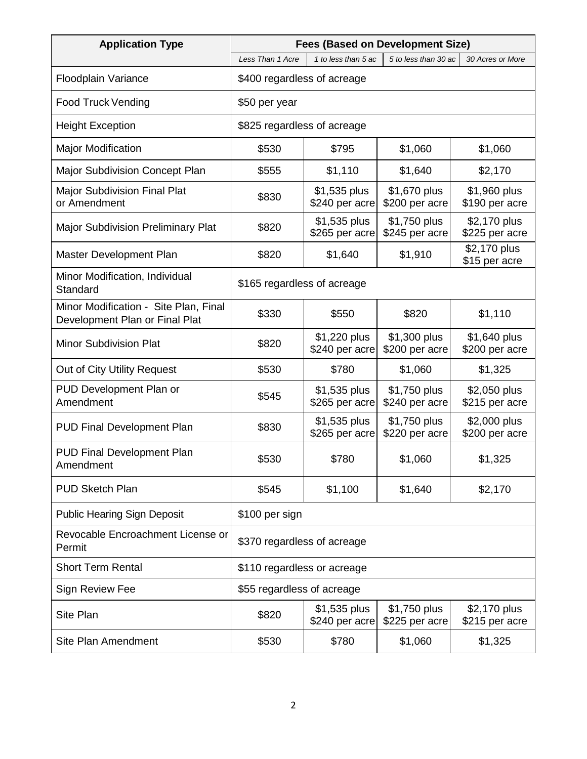| <b>Application Type</b>                                                 | <b>Fees (Based on Development Size)</b>                                             |                                 |                                |                                |  |
|-------------------------------------------------------------------------|-------------------------------------------------------------------------------------|---------------------------------|--------------------------------|--------------------------------|--|
|                                                                         | 1 to less than 5 ac<br>5 to less than 30 ac<br>Less Than 1 Acre<br>30 Acres or More |                                 |                                |                                |  |
| Floodplain Variance                                                     | \$400 regardless of acreage                                                         |                                 |                                |                                |  |
| <b>Food Truck Vending</b>                                               | \$50 per year                                                                       |                                 |                                |                                |  |
| <b>Height Exception</b>                                                 | \$825 regardless of acreage                                                         |                                 |                                |                                |  |
| <b>Major Modification</b>                                               | \$530                                                                               | \$795                           | \$1,060                        | \$1,060                        |  |
| Major Subdivision Concept Plan                                          | \$555                                                                               | \$1,110                         | \$1,640                        | \$2,170                        |  |
| <b>Major Subdivision Final Plat</b><br>or Amendment                     | \$830                                                                               | \$1,535 plus<br>\$240 per acre  | \$1,670 plus<br>\$200 per acre | \$1,960 plus<br>\$190 per acre |  |
| <b>Major Subdivision Preliminary Plat</b>                               | \$820                                                                               | \$1,535 plus<br>\$265 per acre  | \$1,750 plus<br>\$245 per acre | \$2,170 plus<br>\$225 per acre |  |
| Master Development Plan                                                 | \$820                                                                               | \$1,640                         | \$1,910                        | \$2,170 plus<br>\$15 per acre  |  |
| Minor Modification, Individual<br>Standard                              | \$165 regardless of acreage                                                         |                                 |                                |                                |  |
| Minor Modification - Site Plan, Final<br>Development Plan or Final Plat | \$330                                                                               | \$550                           | \$820                          | \$1,110                        |  |
| <b>Minor Subdivision Plat</b>                                           | \$820                                                                               | \$1,220 plus<br>\$240 per acre  | \$1,300 plus<br>\$200 per acre | \$1,640 plus<br>\$200 per acre |  |
| Out of City Utility Request                                             | \$530                                                                               | \$780                           | \$1,060                        | \$1,325                        |  |
| PUD Development Plan or<br>Amendment                                    | \$545                                                                               | \$1,535 plus<br>\$265 per acre  | \$1,750 plus<br>\$240 per acre | \$2,050 plus<br>\$215 per acre |  |
| <b>PUD Final Development Plan</b>                                       | \$830                                                                               | \$1,535 plus<br>\$265 per acre  | \$1,750 plus<br>\$220 per acre | \$2,000 plus<br>\$200 per acre |  |
| PUD Final Development Plan<br>Amendment                                 | \$530                                                                               | \$780                           | \$1,060                        | \$1,325                        |  |
| <b>PUD Sketch Plan</b>                                                  | \$545                                                                               | \$1,100                         | \$1,640                        | \$2,170                        |  |
| <b>Public Hearing Sign Deposit</b>                                      | \$100 per sign                                                                      |                                 |                                |                                |  |
| Revocable Encroachment License or<br>Permit                             | \$370 regardless of acreage                                                         |                                 |                                |                                |  |
| <b>Short Term Rental</b>                                                | \$110 regardless or acreage                                                         |                                 |                                |                                |  |
| Sign Review Fee                                                         | \$55 regardless of acreage                                                          |                                 |                                |                                |  |
| <b>Site Plan</b>                                                        | \$820                                                                               | $$1,535$ plus<br>\$240 per acre | \$1,750 plus<br>\$225 per acre | \$2,170 plus<br>\$215 per acre |  |
| Site Plan Amendment                                                     | \$530                                                                               | \$780                           | \$1,060                        | \$1,325                        |  |